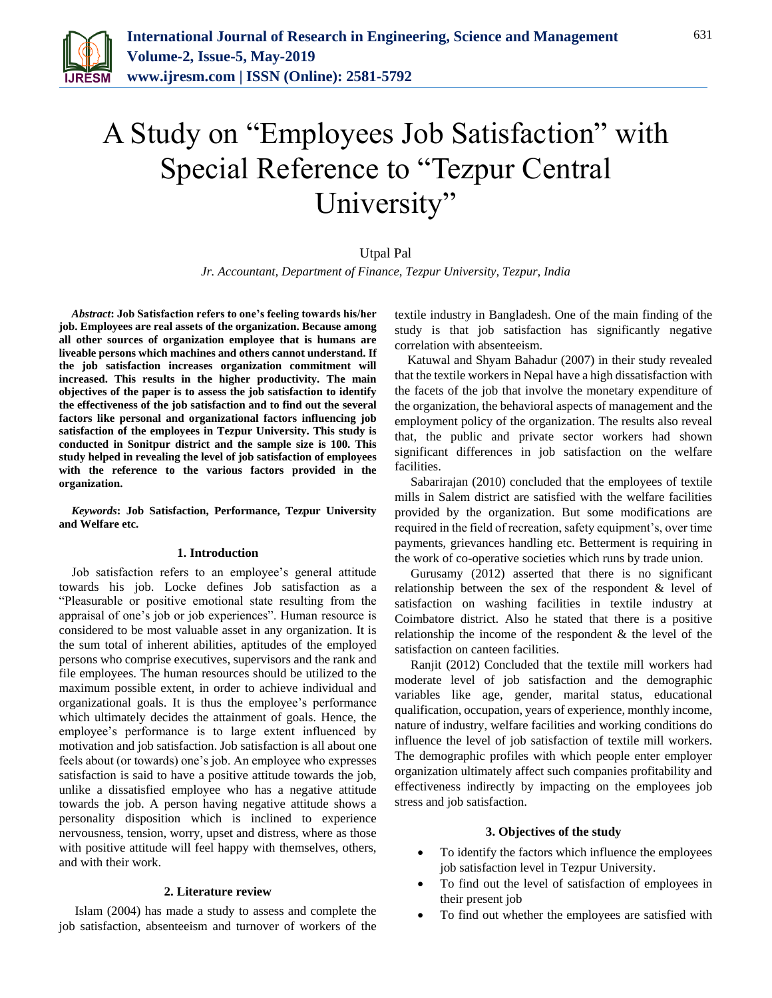

# A Study on "Employees Job Satisfaction" with Special Reference to "Tezpur Central University"

# Utpal Pal

*Jr. Accountant, Department of Finance, Tezpur University, Tezpur, India*

*Abstract***: Job Satisfaction refers to one's feeling towards his/her job. Employees are real assets of the organization. Because among all other sources of organization employee that is humans are liveable persons which machines and others cannot understand. If the job satisfaction increases organization commitment will increased. This results in the higher productivity. The main objectives of the paper is to assess the job satisfaction to identify the effectiveness of the job satisfaction and to find out the several factors like personal and organizational factors influencing job satisfaction of the employees in Tezpur University. This study is conducted in Sonitpur district and the sample size is 100. This study helped in revealing the level of job satisfaction of employees with the reference to the various factors provided in the organization.** 

*Keywords***: Job Satisfaction, Performance, Tezpur University and Welfare etc.**

#### **1. Introduction**

Job satisfaction refers to an employee's general attitude towards his job. Locke defines Job satisfaction as a "Pleasurable or positive emotional state resulting from the appraisal of one's job or job experiences". Human resource is considered to be most valuable asset in any organization. It is the sum total of inherent abilities, aptitudes of the employed persons who comprise executives, supervisors and the rank and file employees. The human resources should be utilized to the maximum possible extent, in order to achieve individual and organizational goals. It is thus the employee's performance which ultimately decides the attainment of goals. Hence, the employee's performance is to large extent influenced by motivation and job satisfaction. Job satisfaction is all about one feels about (or towards) one's job. An employee who expresses satisfaction is said to have a positive attitude towards the job, unlike a dissatisfied employee who has a negative attitude towards the job. A person having negative attitude shows a personality disposition which is inclined to experience nervousness, tension, worry, upset and distress, where as those with positive attitude will feel happy with themselves, others, and with their work.

#### **2. Literature review**

Islam (2004) has made a study to assess and complete the job satisfaction, absenteeism and turnover of workers of the textile industry in Bangladesh. One of the main finding of the study is that job satisfaction has significantly negative correlation with absenteeism.

Katuwal and Shyam Bahadur (2007) in their study revealed that the textile workers in Nepal have a high dissatisfaction with the facets of the job that involve the monetary expenditure of the organization, the behavioral aspects of management and the employment policy of the organization. The results also reveal that, the public and private sector workers had shown significant differences in job satisfaction on the welfare facilities.

Sabarirajan (2010) concluded that the employees of textile mills in Salem district are satisfied with the welfare facilities provided by the organization. But some modifications are required in the field of recreation, safety equipment's, over time payments, grievances handling etc. Betterment is requiring in the work of co-operative societies which runs by trade union.

Gurusamy (2012) asserted that there is no significant relationship between the sex of the respondent & level of satisfaction on washing facilities in textile industry at Coimbatore district. Also he stated that there is a positive relationship the income of the respondent & the level of the satisfaction on canteen facilities.

Ranjit (2012) Concluded that the textile mill workers had moderate level of job satisfaction and the demographic variables like age, gender, marital status, educational qualification, occupation, years of experience, monthly income, nature of industry, welfare facilities and working conditions do influence the level of job satisfaction of textile mill workers. The demographic profiles with which people enter employer organization ultimately affect such companies profitability and effectiveness indirectly by impacting on the employees job stress and job satisfaction.

#### **3. Objectives of the study**

- To identify the factors which influence the employees job satisfaction level in Tezpur University.
- To find out the level of satisfaction of employees in their present job
- To find out whether the employees are satisfied with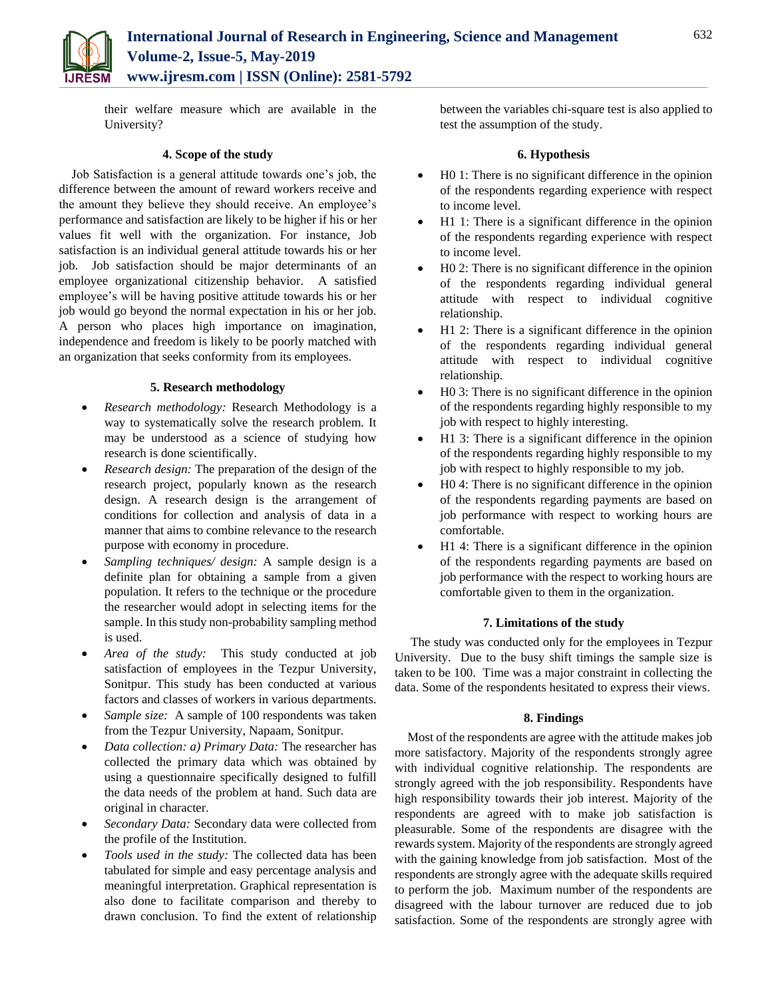

their welfare measure which are available in the University?

# **4. Scope of the study**

Job Satisfaction is a general attitude towards one's job, the difference between the amount of reward workers receive and the amount they believe they should receive. An employee's performance and satisfaction are likely to be higher if his or her values fit well with the organization. For instance, Job satisfaction is an individual general attitude towards his or her job. Job satisfaction should be major determinants of an employee organizational citizenship behavior. A satisfied employee's will be having positive attitude towards his or her job would go beyond the normal expectation in his or her job. A person who places high importance on imagination, independence and freedom is likely to be poorly matched with an organization that seeks conformity from its employees.

# **5. Research methodology**

- *Research methodology:* Research Methodology is a way to systematically solve the research problem. It may be understood as a science of studying how research is done scientifically.
- *Research design:* The preparation of the design of the research project, popularly known as the research design. A research design is the arrangement of conditions for collection and analysis of data in a manner that aims to combine relevance to the research purpose with economy in procedure.
- *Sampling techniques/ design:* A sample design is a definite plan for obtaining a sample from a given population. It refers to the technique or the procedure the researcher would adopt in selecting items for the sample. In this study non-probability sampling method is used.
- *Area of the study:* This study conducted at job satisfaction of employees in the Tezpur University, Sonitpur. This study has been conducted at various factors and classes of workers in various departments.
- *Sample size:* A sample of 100 respondents was taken from the Tezpur University, Napaam, Sonitpur.
- *Data collection: a) Primary Data:* The researcher has collected the primary data which was obtained by using a questionnaire specifically designed to fulfill the data needs of the problem at hand. Such data are original in character.
- *Secondary Data:* Secondary data were collected from the profile of the Institution.
- *Tools used in the study:* The collected data has been tabulated for simple and easy percentage analysis and meaningful interpretation. Graphical representation is also done to facilitate comparison and thereby to drawn conclusion. To find the extent of relationship

between the variables chi-square test is also applied to test the assumption of the study.

### **6. Hypothesis**

- H0 1: There is no significant difference in the opinion of the respondents regarding experience with respect to income level.
- H1 1: There is a significant difference in the opinion of the respondents regarding experience with respect to income level.
- H0 2: There is no significant difference in the opinion of the respondents regarding individual general attitude with respect to individual cognitive relationship.
- H1 2: There is a significant difference in the opinion of the respondents regarding individual general attitude with respect to individual cognitive relationship.
- H0 3: There is no significant difference in the opinion of the respondents regarding highly responsible to my job with respect to highly interesting.
- H1 3: There is a significant difference in the opinion of the respondents regarding highly responsible to my job with respect to highly responsible to my job.
- H0 4: There is no significant difference in the opinion of the respondents regarding payments are based on job performance with respect to working hours are comfortable.
- H1 4: There is a significant difference in the opinion of the respondents regarding payments are based on job performance with the respect to working hours are comfortable given to them in the organization.

### **7. Limitations of the study**

The study was conducted only for the employees in Tezpur University. Due to the busy shift timings the sample size is taken to be 100. Time was a major constraint in collecting the data. Some of the respondents hesitated to express their views.

# **8. Findings**

Most of the respondents are agree with the attitude makes job more satisfactory. Majority of the respondents strongly agree with individual cognitive relationship. The respondents are strongly agreed with the job responsibility. Respondents have high responsibility towards their job interest. Majority of the respondents are agreed with to make job satisfaction is pleasurable. Some of the respondents are disagree with the rewards system. Majority of the respondents are strongly agreed with the gaining knowledge from job satisfaction. Most of the respondents are strongly agree with the adequate skills required to perform the job. Maximum number of the respondents are disagreed with the labour turnover are reduced due to job satisfaction. Some of the respondents are strongly agree with